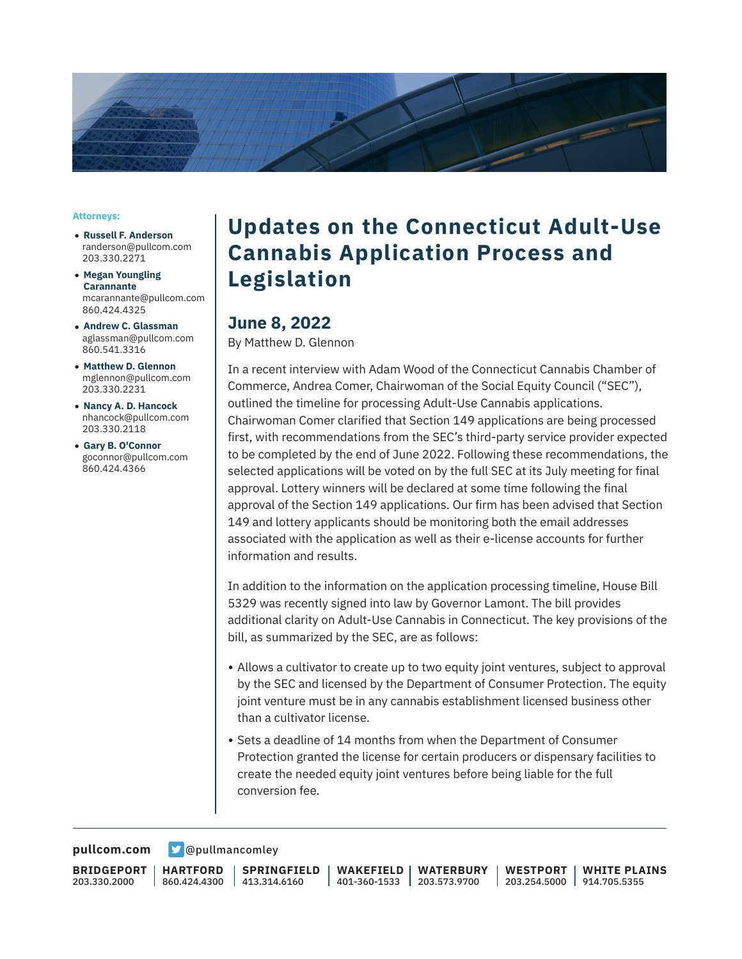

#### **Attorneys:**

- **Russell F. Anderson** randerson@pullcom.com 203.330.2271
- **Megan Youngling Carannante** mcarannante@pullcom.com 860.424.4325
- **Andrew C. Glassman** aglassman@pullcom.com 860.541.3316
- **Matthew D. Glennon** mglennon@pullcom.com 203.330.2231
- **Nancy A. D. Hancock** nhancock@pullcom.com 203.330.2118
- **Gary B. O'Connor** goconnor@pullcom.com 860.424.4366

# **Updates on the Connecticut Adult-Use Cannabis Application Process and Legislation**

#### **June 8, 2022**

By Matthew D. Glennon

In a recent interview with Adam Wood of the Connecticut Cannabis Chamber of Commerce, Andrea Comer, Chairwoman of the Social Equity Council ("SEC"), outlined the timeline for processing Adult-Use Cannabis applications. Chairwoman Comer clarified that Section 149 applications are being processed first, with recommendations from the SEC's third-party service provider expected to be completed by the end of June 2022. Following these recommendations, the selected applications will be voted on by the full SEC at its July meeting for final approval. Lottery winners will be declared at some time following the final approval of the Section 149 applications. Our firm has been advised that Section 149 and lottery applicants should be monitoring both the email addresses associated with the application as well as their e-license accounts for further information and results.

In addition to the information on the application processing timeline, House Bill 5329 was recently signed into law by Governor Lamont. The bill provides additional clarity on Adult-Use Cannabis in Connecticut. The key provisions of the bill, as summarized by the SEC, are as follows:

- Allows a cultivator to create up to two equity joint ventures, subject to approval by the SEC and licensed by the Department of Consumer Protection. The equity joint venture must be in any cannabis establishment licensed business other than a cultivator license.
- Sets a deadline of 14 months from when the Department of Consumer Protection granted the license for certain producers or dispensary facilities to create the needed equity joint ventures before being liable for the full conversion fee.

[pullcom.com](https://www.pullcom.com) **D** [@pullmancomley](https://twitter.com/PullmanComley)

**BRIDGEPORT** 203.330.2000

**HARTFORD** 860.424.4300

**SPRINGFIELD** 413.314.6160

**WAKEFIELD** 401-360-1533 203.573.9700 **WATERBURY**

**WESTPORT** 203.254.5000 914.705.5355 **WHITE PLAINS**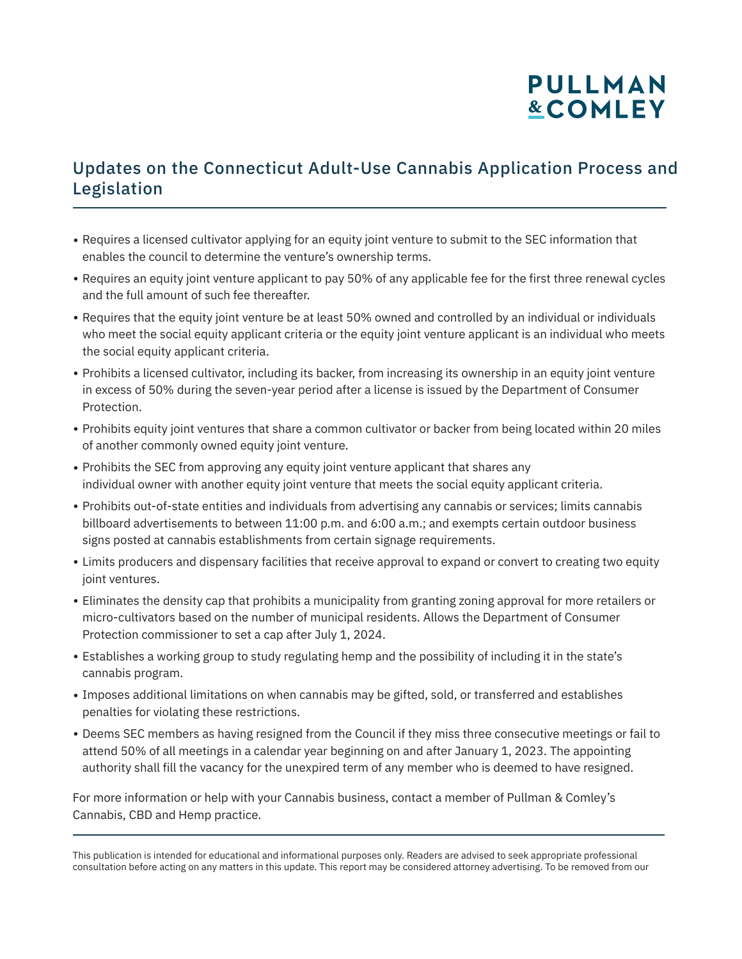# **PULLMAN &COMLEY**

## Updates on the Connecticut Adult-Use Cannabis Application Process and Legislation

- Requires a licensed cultivator applying for an equity joint venture to submit to the SEC information that enables the council to determine the venture's ownership terms.
- Requires an equity joint venture applicant to pay 50% of any applicable fee for the first three renewal cycles and the full amount of such fee thereafter.
- Requires that the equity joint venture be at least 50% owned and controlled by an individual or individuals who meet the social equity applicant criteria or the equity joint venture applicant is an individual who meets the social equity applicant criteria.
- Prohibits a licensed cultivator, including its backer, from increasing its ownership in an equity joint venture in excess of 50% during the seven-year period after a license is issued by the Department of Consumer Protection.
- Prohibits equity joint ventures that share a common cultivator or backer from being located within 20 miles of another commonly owned equity joint venture.
- Prohibits the SEC from approving any equity joint venture applicant that shares any individual owner with another equity joint venture that meets the social equity applicant criteria.
- Prohibits out-of-state entities and individuals from advertising any cannabis or services; limits cannabis billboard advertisements to between 11:00 p.m. and 6:00 a.m.; and exempts certain outdoor business signs posted at cannabis establishments from certain signage requirements.
- Limits producers and dispensary facilities that receive approval to expand or convert to creating two equity joint ventures.
- Eliminates the density cap that prohibits a municipality from granting zoning approval for more retailers or micro-cultivators based on the number of municipal residents. Allows the Department of Consumer Protection commissioner to set a cap after July 1, 2024.
- Establishes a working group to study regulating hemp and the possibility of including it in the state's cannabis program.
- Imposes additional limitations on when cannabis may be gifted, sold, or transferred and establishes penalties for violating these restrictions.
- Deems SEC members as having resigned from the Council if they miss three consecutive meetings or fail to attend 50% of all meetings in a calendar year beginning on and after January 1, 2023. The appointing authority shall fill the vacancy for the unexpired term of any member who is deemed to have resigned.

For more information or help with your Cannabis business, contact a member of Pullman & Comley's Cannabis, CBD and Hemp practice.

l

This publication is intended for educational and informational purposes only. Readers are advised to seek appropriate professional consultation before acting on any matters in this update. This report may be considered attorney advertising. To be removed from our